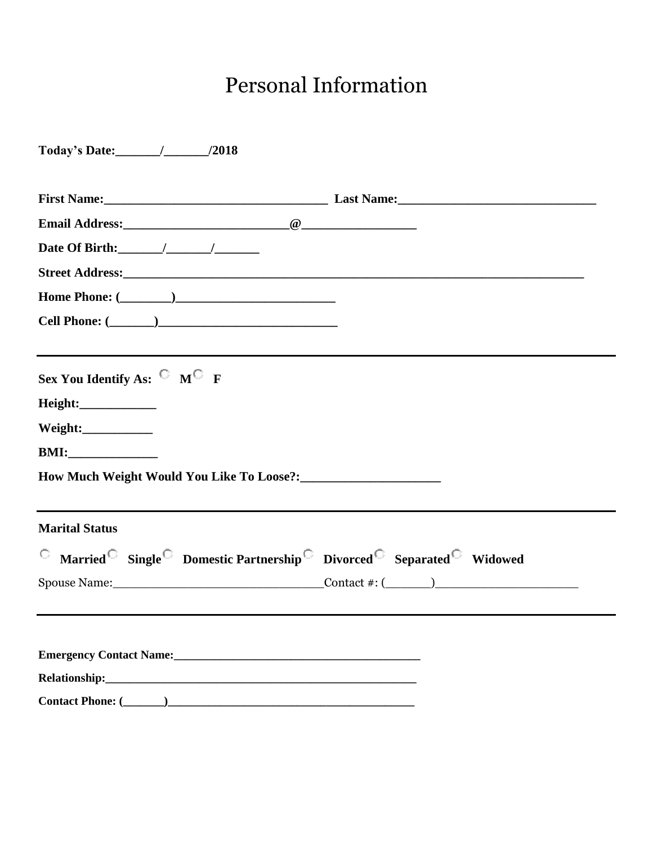# Personal Information

| Date Of Birth: $\frac{1}{\sqrt{1-\frac{1}{2}}}\frac{1}{\sqrt{1-\frac{1}{2}}}\frac{1}{\sqrt{1-\frac{1}{2}}}\frac{1}{\sqrt{1-\frac{1}{2}}}\frac{1}{\sqrt{1-\frac{1}{2}}}\frac{1}{\sqrt{1-\frac{1}{2}}}\frac{1}{\sqrt{1-\frac{1}{2}}}\frac{1}{\sqrt{1-\frac{1}{2}}}\frac{1}{\sqrt{1-\frac{1}{2}}}\frac{1}{\sqrt{1-\frac{1}{2}}}\frac{1}{\sqrt{1-\frac{1}{2}}}\frac{1}{\sqrt{1-\frac{1}{2}}}\frac{1}{\sqrt{1-\frac{1$ |                                                                         |
|-------------------------------------------------------------------------------------------------------------------------------------------------------------------------------------------------------------------------------------------------------------------------------------------------------------------------------------------------------------------------------------------------------------------|-------------------------------------------------------------------------|
|                                                                                                                                                                                                                                                                                                                                                                                                                   |                                                                         |
|                                                                                                                                                                                                                                                                                                                                                                                                                   |                                                                         |
|                                                                                                                                                                                                                                                                                                                                                                                                                   |                                                                         |
| Sex You Identify As: $\rm ^{\circ}$ M $\rm ^{\circ}$ F                                                                                                                                                                                                                                                                                                                                                            |                                                                         |
| Height:_____________                                                                                                                                                                                                                                                                                                                                                                                              |                                                                         |
| Weight:_____________                                                                                                                                                                                                                                                                                                                                                                                              |                                                                         |
| BMI:                                                                                                                                                                                                                                                                                                                                                                                                              |                                                                         |
|                                                                                                                                                                                                                                                                                                                                                                                                                   |                                                                         |
| <b>Marital Status</b>                                                                                                                                                                                                                                                                                                                                                                                             |                                                                         |
|                                                                                                                                                                                                                                                                                                                                                                                                                   | <b>C</b> Married Single Domestic Partnership Divorced Separated Widowed |
|                                                                                                                                                                                                                                                                                                                                                                                                                   |                                                                         |
|                                                                                                                                                                                                                                                                                                                                                                                                                   |                                                                         |
| Emergency Contact Name:<br><u>Emergency Contact Name:</u>                                                                                                                                                                                                                                                                                                                                                         |                                                                         |
|                                                                                                                                                                                                                                                                                                                                                                                                                   |                                                                         |
|                                                                                                                                                                                                                                                                                                                                                                                                                   |                                                                         |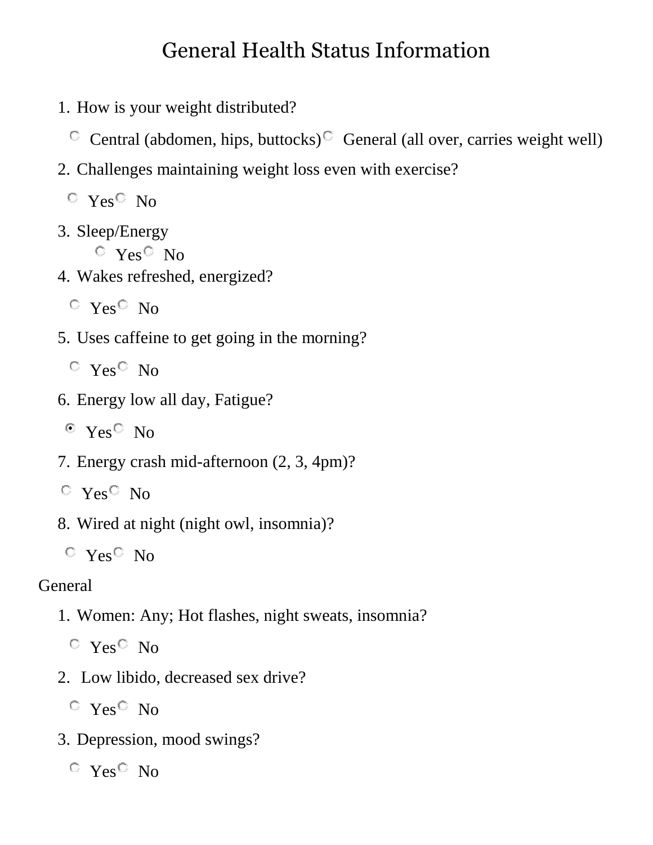#### General Health Status Information

1. How is your weight distributed?

Central (abdomen, hips, buttocks)<sup> $\circ$ </sup> General (all over, carries weight well)

2. Challenges maintaining weight loss even with exercise?

 $C$  Yes<sup> $C$ </sup> No

3. Sleep/Energy

 $C$  Yes<sup> $C$ </sup> No

4. Wakes refreshed, energized?

 $\circ$  Yes  $\circ$  No

5. Uses caffeine to get going in the morning?

 $\circ$  Yes  $\circ$  No

- 6. Energy low all day, Fatigue?
- $\degree$  Yes  $\degree$  No
- 7. Energy crash mid-afternoon (2, 3, 4pm)?
- $\circ$  Yes  $\circ$  No
- 8. Wired at night (night owl, insomnia)?
- $\circ$  Yes $\circ$  No

#### General

- 1. Women: Any; Hot flashes, night sweats, insomnia?
	- $\circ$  Yes  $\circ$  No
- 2. Low libido, decreased sex drive?

 $\degree$  Yes  $\degree$  No

3. Depression, mood swings?

 $\degree$  Yes  $\degree$  No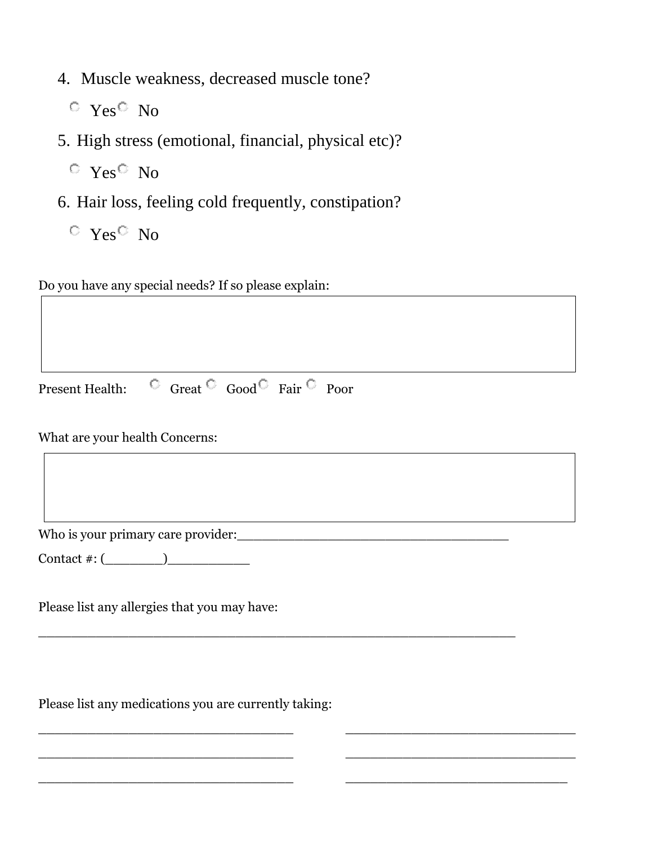- 4. Muscle weakness, decreased muscle tone?
	- $V_{\text{es}}$  No
- 5. High stress (emotional, financial, physical etc)?
	- $\circ$  Yes  $\circ$  No
- 6. Hair loss, feeling cold frequently, constipation?
	- $\circ$  Yes  $\circ$  No

Do you have any special needs? If so please explain:

Present Health:  $\Box$  Great  $\Box$  Good  $\Box$  Fair  $\Box$  Poor

What are your health Concerns:

Who is your primary care provider:\_\_\_\_\_\_\_\_\_\_\_\_\_\_\_\_\_\_\_\_\_\_\_\_\_\_\_\_\_\_\_\_\_

Contact  $\#$ :  $(\_\_\_\_\_\_\_\$ 

Please list any allergies that you may have:

Please list any medications you are currently taking:

\_\_\_\_\_\_\_\_\_\_\_\_\_\_\_\_\_\_\_\_\_\_\_\_\_\_\_\_\_\_\_\_\_\_\_\_\_\_\_\_\_\_\_\_\_\_\_\_\_\_\_\_\_\_\_\_\_\_

\_\_\_\_\_\_\_\_\_\_\_\_\_\_\_\_\_\_\_\_\_\_\_\_\_\_\_\_\_\_\_ \_\_\_\_\_\_\_\_\_\_\_\_\_\_\_\_\_\_\_\_\_\_\_\_\_\_\_\_

 $\_$  , and the set of the set of the set of the set of the set of the set of the set of the set of the set of the set of the set of the set of the set of the set of the set of the set of the set of the set of the set of th

\_\_\_\_\_\_\_\_\_\_\_\_\_\_\_\_\_\_\_\_\_\_\_\_\_\_\_\_\_\_\_ \_\_\_\_\_\_\_\_\_\_\_\_\_\_\_\_\_\_\_\_\_\_\_\_\_\_\_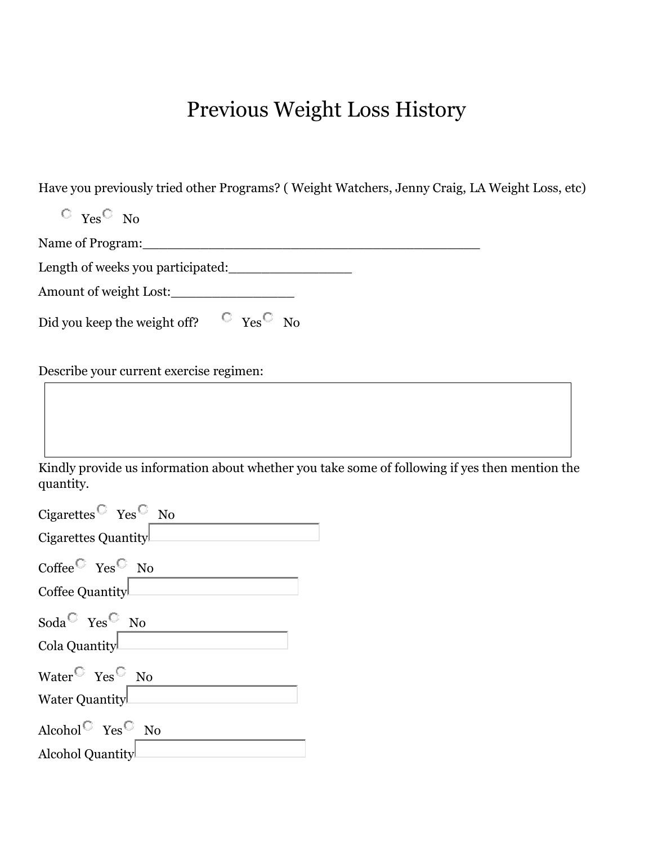### Previous Weight Loss History

Have you previously tried other Programs? ( Weight Watchers, Jenny Craig, LA Weight Loss, etc)

| $\circ$ Yes <sup><math>\circ</math></sup> No                                                                |
|-------------------------------------------------------------------------------------------------------------|
| Name of Program:                                                                                            |
| Length of weeks you participated:                                                                           |
| Amount of weight Lost:                                                                                      |
| Did you keep the weight off? $\circ$ Yes <sup>C</sup> No                                                    |
| Describe your current exercise regimen:                                                                     |
|                                                                                                             |
| Kindly provide us information about whether you take some of following if yes then mention the<br>quantity. |
| Cigarettes <sup><math>\textcircled{r}</math></sup> Yes <sup><math>\textcircled{r}</math></sup> No           |
| Cigarettes Quantity                                                                                         |
| Coffee $\overline{\phantom{a}}$ Yes $\overline{\phantom{a}}$ No<br>Coffee Quantity                          |
| Soda <sup><math>\heartsuit</math></sup> Yes <sup><math>\heartsuit</math></sup> No                           |
| Cola Quantity                                                                                               |
| Water $\overline{\phantom{a}}$ Yes $\overline{\phantom{a}}$ No                                              |
| Water Quantity                                                                                              |
| Alcohol<br>$^{\mathbb{C}}$ Yes<br>$^{\mathbb{C}}$ No                                                        |
| Alcohol Quantity                                                                                            |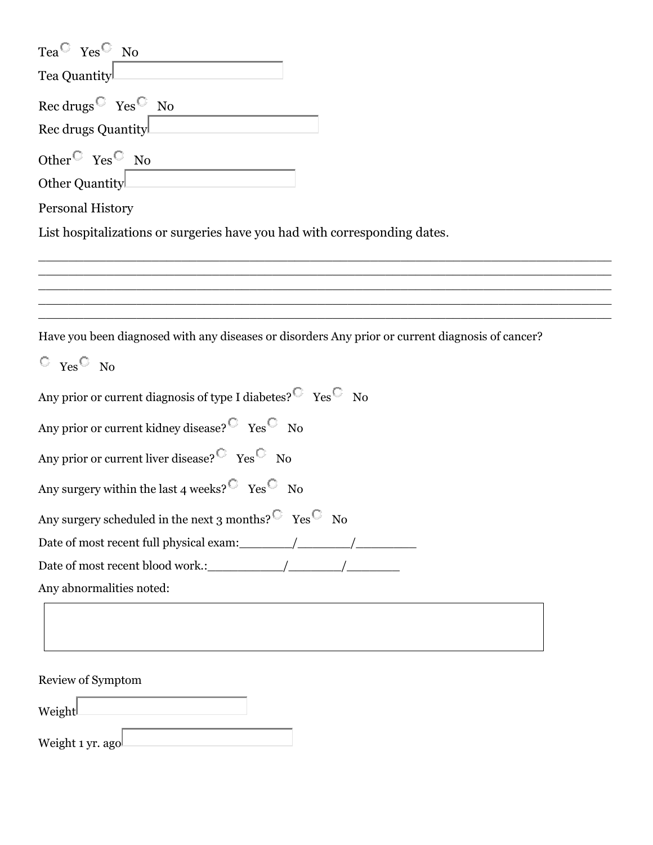| Tea <sup><math>\heartsuit</math></sup> Yes <sup><math>\heartsuit</math></sup> No                 |
|--------------------------------------------------------------------------------------------------|
| Tea Quantity                                                                                     |
| Rec drugs $\circ$ Yes $\circ$ No<br>Rec drugs Quantity                                           |
|                                                                                                  |
| Other <sup><math>\circ</math></sup> Yes <sup><math>\circ</math></sup> No                         |
| Other Quantity                                                                                   |
| <b>Personal History</b>                                                                          |
| List hospitalizations or surgeries have you had with corresponding dates.                        |
|                                                                                                  |
|                                                                                                  |
|                                                                                                  |
|                                                                                                  |
| Have you been diagnosed with any diseases or disorders Any prior or current diagnosis of cancer? |
| $\circ$ Yes <sup><math>\circ</math></sup> No                                                     |

| Any prior or current diagnosis of type I diabetes? $\overline{C}$ Yes $\overline{C}$ No        |  |  |
|------------------------------------------------------------------------------------------------|--|--|
| Any prior or current kidney disease? $\overline{\phantom{a}}$ Yes $\overline{\phantom{a}}$ No  |  |  |
| Any prior or current liver disease? $\overline{\text{C}}$ Yes $\overline{\text{C}}$ No         |  |  |
| Any surgery within the last 4 weeks? $\overline{\text{C}}$ Yes $\overline{\text{C}}$ No        |  |  |
| Any surgery scheduled in the next 3 months? $\overline{\text{C}}$ Yes $\overline{\text{C}}$ No |  |  |
| Date of most recent full physical exam: $\frac{1}{\sqrt{2\pi}}$                                |  |  |
|                                                                                                |  |  |
| Any abnormalities noted:                                                                       |  |  |
|                                                                                                |  |  |

Review of Symptom Weight

Weight 1 yr. ago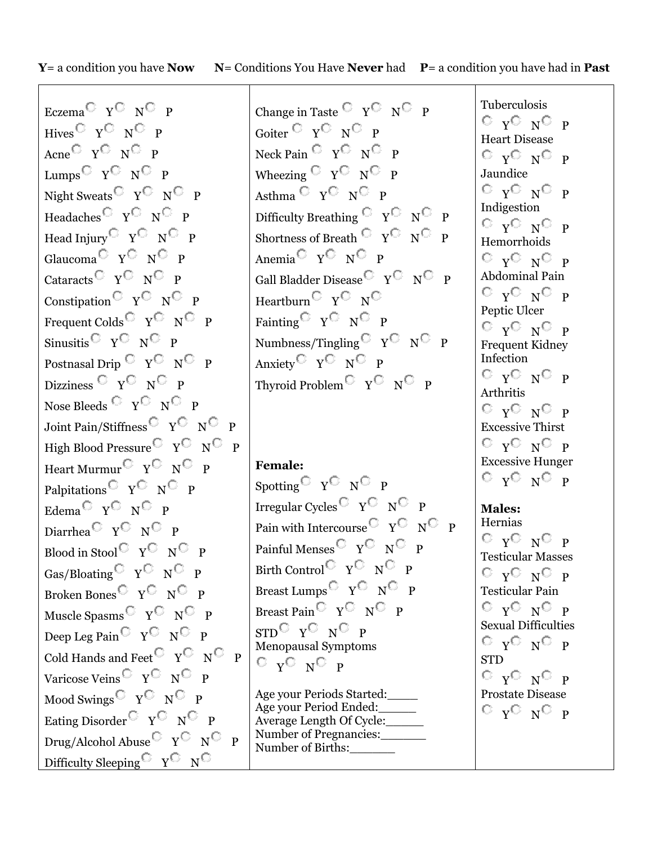**Y**= a condition you have **Now N**= Conditions You Have **Never** had **P**= a condition you have had in **Past**

Eczema $\overline{\mathbb{C}}$  Y $\overline{\mathbb{C}}$  N $\overline{\mathbb{C}}$  P Hives  $\begin{array}{cc} \nabla & \nabla \nabla \times \mathbf{R} \nabla \times \mathbf{R} \nabla \times \mathbf{R} \nabla \times \mathbf{R} \nabla \times \mathbf{R} \nabla \times \mathbf{R} \nabla \times \mathbf{R} \nabla \times \mathbf{R} \nabla \times \mathbf{R} \nabla \times \mathbf{R} \nabla \times \mathbf{R} \nabla \times \mathbf{R} \nabla \times \mathbf{R} \nabla \times \mathbf{R} \nabla \times \mathbf{R} \nabla \times \mathbf{R} \nabla \times$ Acne<sup> $\begin{array}{ccc} \n\mathbf{C} & \mathbf{Y}^{\mathbb{C}} & \mathbf{N}^{\mathbb{C}} & \mathbf{P} \n\end{array}$ </sup> Lumps  $\begin{array}{cc} \nabla \times \mathbb{R}^n \times \mathbb{R}^n \end{array}$  P Night Sweats  $\begin{array}{cc} \nabla & \nabla \nabla \times \mathbf{R} \nabla \times \mathbf{R} \nabla \times \mathbf{R} \nabla \times \mathbf{R} \nabla \times \mathbf{R} \nabla \times \mathbf{R} \nabla \times \mathbf{R} \nabla \times \mathbf{R} \nabla \times \mathbf{R} \nabla \times \mathbf{R} \nabla \times \mathbf{R} \nabla \times \mathbf{R} \nabla \times \mathbf{R} \nabla \times \mathbf{R} \nabla \times \mathbf{R} \nabla \times \mathbf{R$ Headaches  $\begin{array}{cc} \nabla & \nabla^{\mathbb{C}} & \mathbb{N}^{\mathbb{C}} & \mathbb{P} \n\end{array}$ Head Injury  $\begin{array}{cc} \nabla \times \mathbb{C} & \nabla \times \mathbb{C} \nabla \times \mathbb{C} \nabla \times \mathbb{C} \nabla \times \mathbb{C} \nabla \times \mathbb{C} \nabla \times \mathbb{C} \nabla \times \mathbb{C} \nabla \times \mathbb{C} \nabla \times \mathbb{C} \nabla \times \mathbb{C} \nabla \times \mathbb{C} \nabla \times \mathbb{C} \nabla \times \mathbb{C} \nabla \times \mathbb{C} \nabla \times \mathbb{C} \nabla \times \math$ Glaucoma  $\overline{C}$   $\overline{Y}$   $\overline{C}$   $\overline{P}$ Cataracts<sup> $\bigcirc$ </sup> Y<sup> $\bigcirc$ </sup> N<sup> $\bigcirc$ </sup> P Constipation  $\begin{array}{cc} \nabla & \nabla \nabla \times \mathbf{P} \n\end{array}$ Frequent Colds  $\begin{array}{cc} \nabla \cdot \mathbf{V}^{\perp} & \mathbf{V}^{\perp} \nabla \cdot \mathbf{P} \n\end{array}$ Sinusitis  $\begin{array}{cc} \nabla \cdot \mathbf{N}^{\perp} & \nabla \cdot \mathbf{N}^{\perp} \nabla \cdot \mathbf{N}^{\perp} \nabla \cdot \mathbf{N}^{\perp} \nabla \cdot \mathbf{N}^{\perp} \nabla \cdot \mathbf{N}^{\perp} \nabla \cdot \mathbf{N}^{\perp} \nabla \cdot \mathbf{N}^{\perp} \nabla \cdot \mathbf{N}^{\perp} \nabla \cdot \mathbf{N}^{\perp} \nabla \cdot \mathbf{N}^{\perp} \nabla \cdot \mathbf{N}^{\per$ Postnasal Drip  $\begin{array}{cc} \nabla & \nabla \nabla & \mathbf{P} \nabla \nabla \mathbf{P} \nabla \mathbf{P} \nabla \mathbf{P} \nabla \mathbf{P} \nabla \mathbf{P} \nabla \mathbf{P} \nabla \mathbf{P} \nabla \mathbf{P} \nabla \mathbf{P} \nabla \mathbf{P} \nabla \mathbf{P} \nabla \mathbf{P} \nabla \mathbf{P} \nabla \mathbf{P} \nabla \mathbf{P} \nabla \mathbf{P} \nabla \mathbf{P} \nabla$ Dizziness  $\begin{array}{ccc} \mathbb{C} & \mathbb{C} & \mathbb{N}^{\mathbb{C}} & \mathbb{P} \end{array}$ Nose Bleeds  $\begin{array}{ccc} \mathbb{O} & \mathbb{Y}^{\mathbb{O}} & \mathbb{N}^{\mathbb{O}} & \mathbb{P} \end{array}$ Joint Pain/Stiffness Y N P High Blood Pressure  $\begin{array}{cc} \nabla & \nabla \nabla \times \mathbf{P} \n\end{array}$ Heart Murmur  $\begin{array}{cc} \nabla & \nabla \nabla \times \mathbf{P} \nabla \times \mathbf{P} \nabla \times \mathbf{P} \nabla \times \mathbf{P} \nabla \times \mathbf{P} \nabla \times \mathbf{P} \nabla \times \mathbf{P} \nabla \times \mathbf{P} \nabla \times \mathbf{P} \nabla \times \mathbf{P} \nabla \times \mathbf{P} \nabla \times \mathbf{P} \nabla \times \mathbf{P} \nabla \times \mathbf{P} \nabla \times \mathbf{P} \nabla \times \mathbf{P$ Palpitations Y N P Edema<sup> $\bigcirc$ </sup> Y<sup> $\bigcirc$ </sup> N<sup> $\bigcirc$ </sup> P Diarrhea $C_Y C_N C_P$ Blood in Stool Y N P Gas/Bloating  $V^{\mathbb{C}}$   $N^{\mathbb{C}}$  P Broken Bones Y N P Muscle Spasms  $\begin{array}{cc} \nabla & \nabla \nabla \times \mathbf{P} \n\end{array}$ Deep Leg Pain  $\mathbb{C}$   $\gamma \mathbb{C}$   $\gamma \mathbb{C}$  P Cold Hands and Feet  $\begin{array}{cc} \nabla & \nabla \nabla & \mathbf{P} \n\end{array}$ Varicose Veins  $\begin{array}{cc} \nabla & \nabla^{\mathbb{C}} & \mathbb{N}^{\mathbb{C}} & \mathbb{P} \n\end{array}$ Mood Swings Y N P Eating Disorder  $\begin{array}{cc} \nabla & \nabla \nabla \times \mathbf{P} \n\end{array}$ Drug/Alcohol Abuse  $\begin{array}{cc} \nabla \times \mathbb{C} & \nabla \times \mathbb{C} \nabla \times \mathbb{C} \nabla \times \mathbb{C} \nabla \times \mathbb{C} \nabla \times \mathbb{C} \nabla \times \mathbb{C} \nabla \times \mathbb{C} \nabla \times \mathbb{C} \nabla \times \mathbb{C} \nabla \times \mathbb{C} \nabla \times \mathbb{C} \nabla \times \mathbb{C} \nabla \times \mathbb{C} \nabla \times \mathbb{C} \nabla \times \mathbb{C} \$ Difficulty Sleeping Y N

Change in Taste  $\begin{array}{cc} \nabla & Y \nabla & N \nabla & P \n\end{array}$ Goiter Y N P Neck Pain  $\begin{array}{cc} \nabla & Y^{\nabla} & N^{\nabla} & P\n\end{array}$ Wheezing  $\begin{array}{cc} \nabla & Y \nabla & N \nabla & P\n\end{array}$ Asthma  $\begin{array}{cc} \nabla & Y \nabla & N \nabla & P\n\end{array}$ Difficulty Breathing  $C_Y C_N$  P Shortness of Breath  $\overline{C}$   $\gamma \overline{C}$   $\gamma \overline{C}$   $\gamma$ Anemia  $\begin{array}{cc} \nabla & \nabla \nabla & \mathbf{N} \nabla \mathbf{P} \nabla \mathbf{N} \nabla \mathbf{P} \nabla \mathbf{N} \nabla \mathbf{P} \nabla \mathbf{N} \nabla \mathbf{P} \nabla \mathbf{P} \nabla \mathbf{N} \nabla \mathbf{P} \nabla \mathbf{N} \nabla \mathbf{P} \nabla \mathbf{N} \nabla \mathbf{P} \nabla \mathbf{N} \nabla \mathbf{P} \nabla \mathbf{P} \nabla \mathbf{N} \nabla \math$ Gall Bladder Disease  $\begin{array}{cc} \nabla & \nabla \nabla \times \mathbf{P} \n\end{array}$ Heartburn Y N Fainting Y N P Numbness/Tingling  $\begin{array}{cc} \nabla \cdot \mathbf{V} \cap \mathbf{P} \n\end{array}$ Anxiety $\begin{array}{cc} \nabla & \nabla \mathbb{C} & \mathbb{N} \nabla \mathbb{R} \nabla \mathbb{N} \nabla \mathbb{R} \nabla \mathbb{N} \nabla \mathbb{R} \nabla \mathbb{N} \nabla \mathbb{R} \nabla \mathbb{N} \nabla \mathbb{N} \nabla \mathbb{N} \nabla \mathbb{N} \nabla \mathbb{N} \nabla \mathbb{N} \nabla \mathbb{N} \nabla \mathbb{N} \nabla \mathbb{N} \nabla \mathbb{N} \nabla \mathbb{N} \nabla$ Thyroid Problem  $\begin{array}{cc} \nabla \cdot \mathbf{V} \nabla \cdot \mathbf{V} \nabla \cdot \mathbf{P} \n\end{array}$ 

**Female:** Spotting  $\begin{array}{cc} \nabla & \nabla \nabla \times \mathbf{R} \nabla \times \mathbf{R} \nabla \times \mathbf{R} \nabla \times \mathbf{R} \nabla \times \mathbf{R} \nabla \times \mathbf{R} \nabla \times \mathbf{R} \nabla \times \mathbf{R} \nabla \times \mathbf{R} \nabla \times \mathbf{R} \nabla \times \mathbf{R} \nabla \times \mathbf{R} \nabla \times \mathbf{R} \nabla \times \mathbf{R} \nabla \times \mathbf{R} \nabla \times \mathbf{R} \nab$ Irregular Cycles Y N P Pain with Intercourse  $\begin{array}{cc} \nabla & \nabla \nabla & \mathbf{P} \n\end{array}$ Painful Menses  $\begin{array}{cc} \nabla \times \mathbb{R}^n \times \mathbb{R}^n \nabla \times \mathbb{R}^n \nabla \times \mathbb{R}^n \nabla \times \mathbb{R}^n \nabla \times \mathbb{R}^n \nabla \times \mathbb{R}^n \nabla \times \mathbb{R}^n \nabla \times \mathbb{R}^n \nabla \times \mathbb{R}^n \nabla \times \mathbb{R}^n \nabla \times \mathbb{R}^n \nabla \times \mathbb{R}^n \nabla \times \mathbb{R}^n \nabla \times$ Birth Control  $\begin{array}{cc} \nabla & \nabla \nabla \times \mathbf{P} \nabla \nabla \times \mathbf{P} \nabla \times \mathbf{P} \nabla \times \mathbf{P} \nabla \times \mathbf{P} \nabla \times \mathbf{P} \nabla \times \mathbf{P} \nabla \times \mathbf{P} \nabla \times \mathbf{P} \nabla \times \mathbf{P} \nabla \times \mathbf{P} \nabla \times \mathbf{P} \nabla \times \mathbf{P} \nabla \times \mathbf{P} \nabla \times \mathbf{P} \nabla \times$ Breast Lumps  $\begin{array}{cc} \nabla & \nabla \nabla \times \mathbf{P} \nabla \times \mathbf{P} \nabla \times \mathbf{P} \nabla \times \mathbf{P} \nabla \times \mathbf{P} \nabla \times \mathbf{P} \nabla \times \mathbf{P} \nabla \times \mathbf{P} \nabla \times \mathbf{P} \nabla \times \mathbf{P} \nabla \times \mathbf{P} \nabla \times \mathbf{P} \nabla \times \mathbf{P} \nabla \times \mathbf{P} \nabla \times \mathbf{P} \nabla \times \mathbf{P$ Breast Pain<sup> $\bigcirc$ </sup>  $Y^{\bigcirc}$   $N^{\bigcirc}$  P  $STD^{\mathbb{C}}$  y  $\mathbb{C}$   $N^{\mathbb{C}}$  p Menopausal Symptoms  $O_V O_N O_P$ Age your Periods Started:\_\_\_\_

Age your Period Ended:\_\_\_\_\_ Average Length Of Cycle:\_\_\_\_\_ Number of Pregnancies: Number of Births:\_\_\_\_\_\_

 $C_{Y}C_{N}C_{P}$ Heart Disease  $O_YO_NO_P$ Jaundice  $C_Y C_N C_P$ Indigestion  $O_YO_NO_P$ Hemorrhoids  $O_V O_N O_P$ Abdominal Pain  $O_V O_N O_P$ Peptic Ulcer  $C_Y C_N C_P$ Frequent Kidney Infection  $O_V O_N O_P$ Arthritis  $O_V O_N O_P$ Excessive Thirst  $C_Y C_N C_P$ Excessive Hunger  $O_YO_NO_P$ 

Tuberculosis

**Males:** Hernias

 $O_YO_NO_P$ Testicular Masses  $C_{Y}C_{N}C_{P}$ Testicular Pain  $O_YO_NO_P$ Sexual Difficulties  $C_V C_N C_P$ STD  $C_Y C_N C_P$ Prostate Disease  $O_YO_NO_P$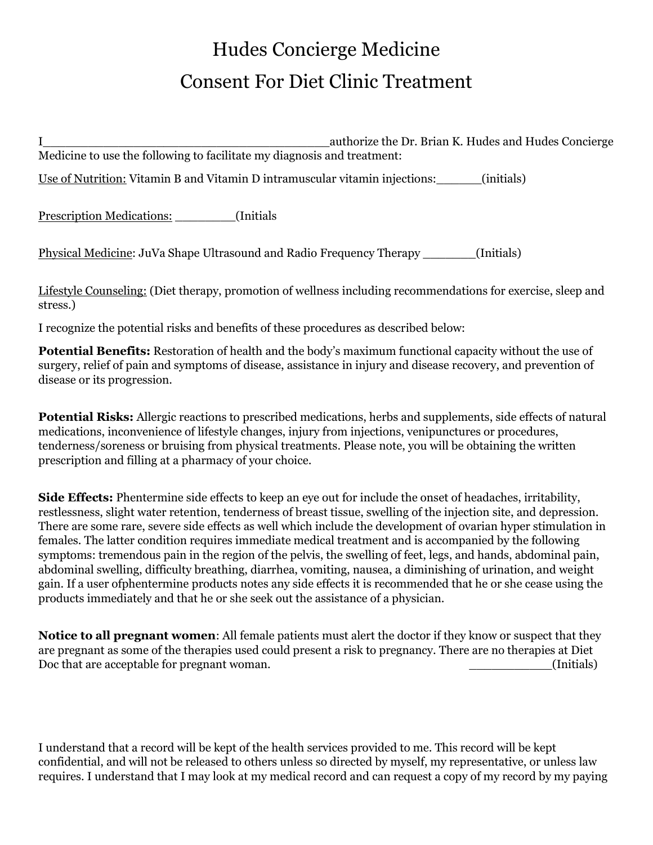# Hudes Concierge Medicine Consent For Diet Clinic Treatment

I\_\_\_\_\_\_\_\_\_\_\_\_\_\_\_\_\_\_\_\_\_\_\_\_\_\_\_\_\_\_\_\_\_\_\_\_\_\_authorize the Dr. Brian K. Hudes and Hudes Concierge Medicine to use the following to facilitate my diagnosis and treatment: Use of Nutrition: Vitamin B and Vitamin D intramuscular vitamin injections: [initials] Prescription Medications: [Initials] Physical Medicine: JuVa Shape Ultrasound and Radio Frequency Therapy \_\_\_\_\_\_\_(Initials)

Lifestyle Counseling: (Diet therapy, promotion of wellness including recommendations for exercise, sleep and stress.)

I recognize the potential risks and benefits of these procedures as described below:

**Potential Benefits:** Restoration of health and the body's maximum functional capacity without the use of surgery, relief of pain and symptoms of disease, assistance in injury and disease recovery, and prevention of disease or its progression.

**Potential Risks:** Allergic reactions to prescribed medications, herbs and supplements, side effects of natural medications, inconvenience of lifestyle changes, injury from injections, venipunctures or procedures, tenderness/soreness or bruising from physical treatments. Please note, you will be obtaining the written prescription and filling at a pharmacy of your choice.

**Side Effects:** Phentermine side effects to keep an eye out for include the onset of headaches, irritability, restlessness, slight water retention, tenderness of breast tissue, swelling of the injection site, and depression. There are some rare, severe side effects as well which include the development of ovarian hyper stimulation in females. The latter condition requires immediate medical treatment and is accompanied by the following symptoms: tremendous pain in the region of the pelvis, the swelling of feet, legs, and hands, abdominal pain, abdominal swelling, difficulty breathing, diarrhea, vomiting, nausea, a diminishing of urination, and weight gain. If a user ofphentermine products notes any side effects it is recommended that he or she cease using the products immediately and that he or she seek out the assistance of a physician.

**Notice to all pregnant women**: All female patients must alert the doctor if they know or suspect that they are pregnant as some of the therapies used could present a risk to pregnancy. There are no therapies at Diet Doc that are acceptable for pregnant woman.  $\blacksquare$ 

I understand that a record will be kept of the health services provided to me. This record will be kept confidential, and will not be released to others unless so directed by myself, my representative, or unless law requires. I understand that I may look at my medical record and can request a copy of my record by my paying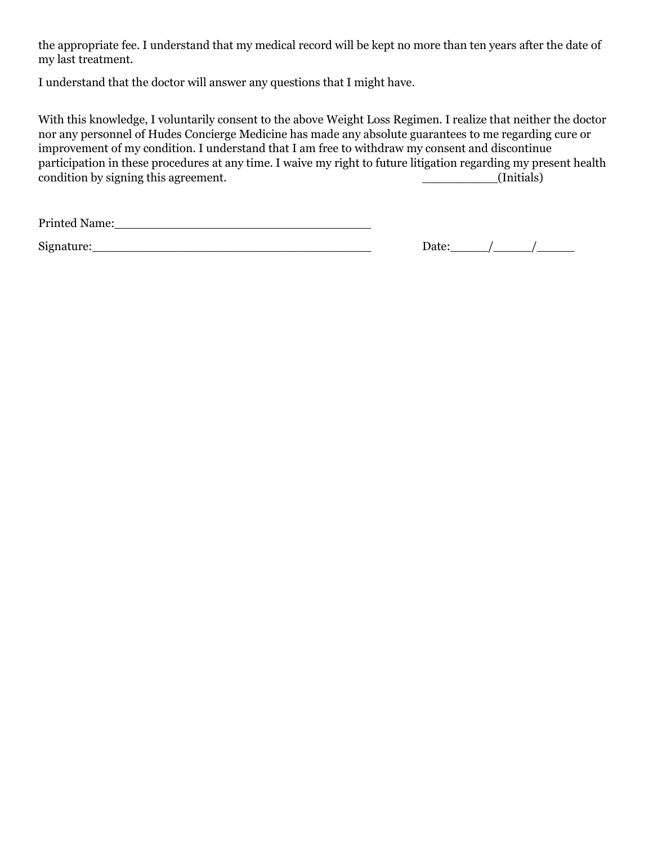the appropriate fee. I understand that my medical record will be kept no more than ten years after the date of my last treatment.

I understand that the doctor will answer any questions that I might have.

With this knowledge, I voluntarily consent to the above Weight Loss Regimen. I realize that neither the doctor nor any personnel of Hudes Concierge Medicine has made any absolute guarantees to me regarding cure or improvement of my condition. I understand that I am free to withdraw my consent and discontinue participation in these procedures at any time. I waive my right to future litigation regarding my present health condition by signing this agreement. \_\_\_\_\_\_\_\_\_\_(Initials)

Printed Name:\_\_\_\_\_\_\_\_\_\_\_\_\_\_\_\_\_\_\_\_\_\_\_\_\_\_\_\_\_\_\_\_\_\_

 $Signature:$  Date:  $\frac{1}{2}$  Date:  $\frac{1}{2}$  Date:  $\frac{1}{2}$  Date:  $\frac{1}{2}$   $\frac{1}{2}$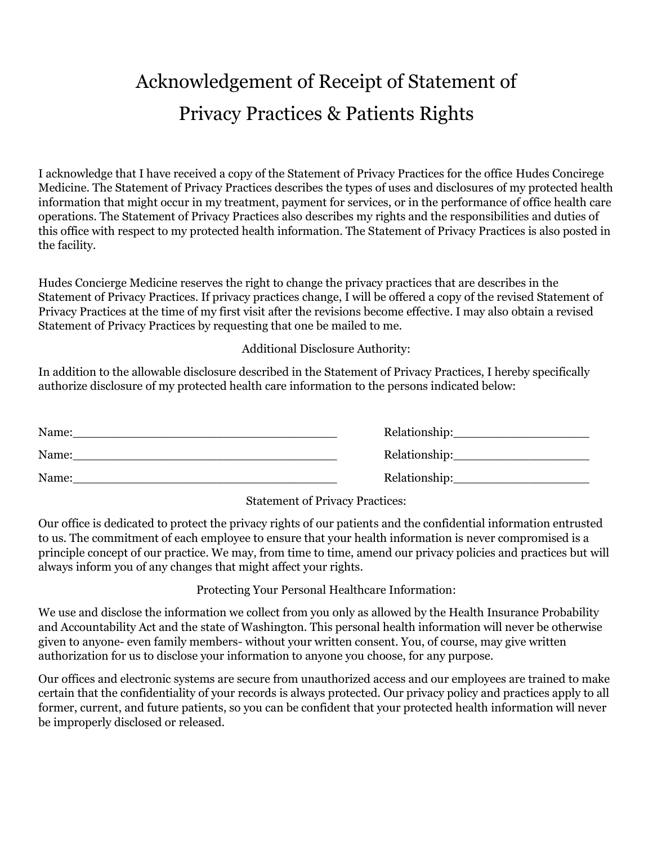### Acknowledgement of Receipt of Statement of Privacy Practices & Patients Rights

I acknowledge that I have received a copy of the Statement of Privacy Practices for the office Hudes Concirege Medicine. The Statement of Privacy Practices describes the types of uses and disclosures of my protected health information that might occur in my treatment, payment for services, or in the performance of office health care operations. The Statement of Privacy Practices also describes my rights and the responsibilities and duties of this office with respect to my protected health information. The Statement of Privacy Practices is also posted in the facility.

Hudes Concierge Medicine reserves the right to change the privacy practices that are describes in the Statement of Privacy Practices. If privacy practices change, I will be offered a copy of the revised Statement of Privacy Practices at the time of my first visit after the revisions become effective. I may also obtain a revised Statement of Privacy Practices by requesting that one be mailed to me.

Additional Disclosure Authority:

In addition to the allowable disclosure described in the Statement of Privacy Practices, I hereby specifically authorize disclosure of my protected health care information to the persons indicated below:

| Name: | Relationship: |
|-------|---------------|
| Name: | Relationship: |
| Name: | Relationship: |

Statement of Privacy Practices:

Our office is dedicated to protect the privacy rights of our patients and the confidential information entrusted to us. The commitment of each employee to ensure that your health information is never compromised is a principle concept of our practice. We may, from time to time, amend our privacy policies and practices but will always inform you of any changes that might affect your rights.

Protecting Your Personal Healthcare Information:

We use and disclose the information we collect from you only as allowed by the Health Insurance Probability and Accountability Act and the state of Washington. This personal health information will never be otherwise given to anyone- even family members- without your written consent. You, of course, may give written authorization for us to disclose your information to anyone you choose, for any purpose.

Our offices and electronic systems are secure from unauthorized access and our employees are trained to make certain that the confidentiality of your records is always protected. Our privacy policy and practices apply to all former, current, and future patients, so you can be confident that your protected health information will never be improperly disclosed or released.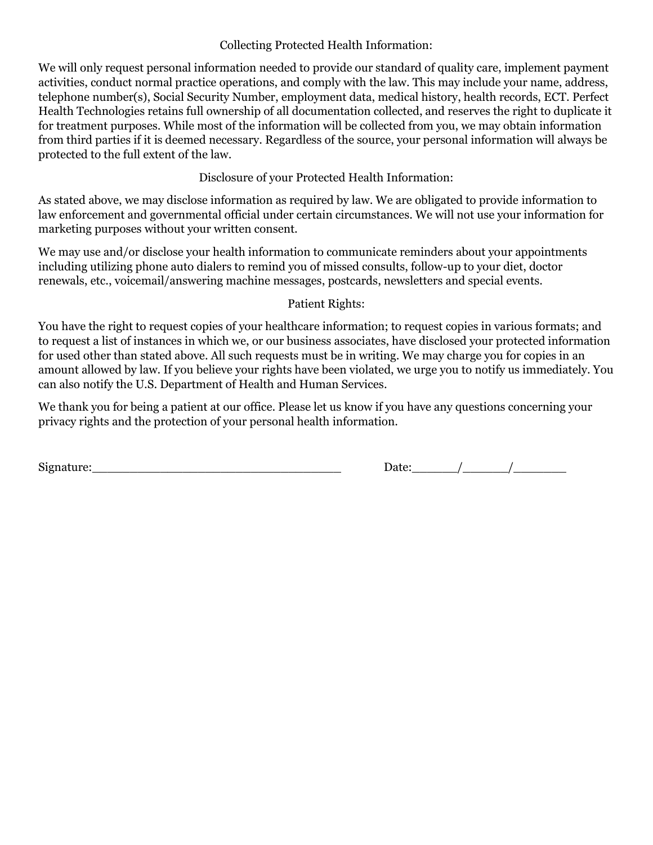#### Collecting Protected Health Information:

We will only request personal information needed to provide our standard of quality care, implement payment activities, conduct normal practice operations, and comply with the law. This may include your name, address, telephone number(s), Social Security Number, employment data, medical history, health records, ECT. Perfect Health Technologies retains full ownership of all documentation collected, and reserves the right to duplicate it for treatment purposes. While most of the information will be collected from you, we may obtain information from third parties if it is deemed necessary. Regardless of the source, your personal information will always be protected to the full extent of the law.

Disclosure of your Protected Health Information:

As stated above, we may disclose information as required by law. We are obligated to provide information to law enforcement and governmental official under certain circumstances. We will not use your information for marketing purposes without your written consent.

We may use and/or disclose your health information to communicate reminders about your appointments including utilizing phone auto dialers to remind you of missed consults, follow-up to your diet, doctor renewals, etc., voicemail/answering machine messages, postcards, newsletters and special events.

#### Patient Rights:

You have the right to request copies of your healthcare information; to request copies in various formats; and to request a list of instances in which we, or our business associates, have disclosed your protected information for used other than stated above. All such requests must be in writing. We may charge you for copies in an amount allowed by law. If you believe your rights have been violated, we urge you to notify us immediately. You can also notify the U.S. Department of Health and Human Services.

We thank you for being a patient at our office. Please let us know if you have any questions concerning your privacy rights and the protection of your personal health information.

 $Signature:$  Date:  $\frac{1}{2}$  Date:  $\frac{1}{2}$  Date:  $\frac{1}{2}$  Date:  $\frac{1}{2}$